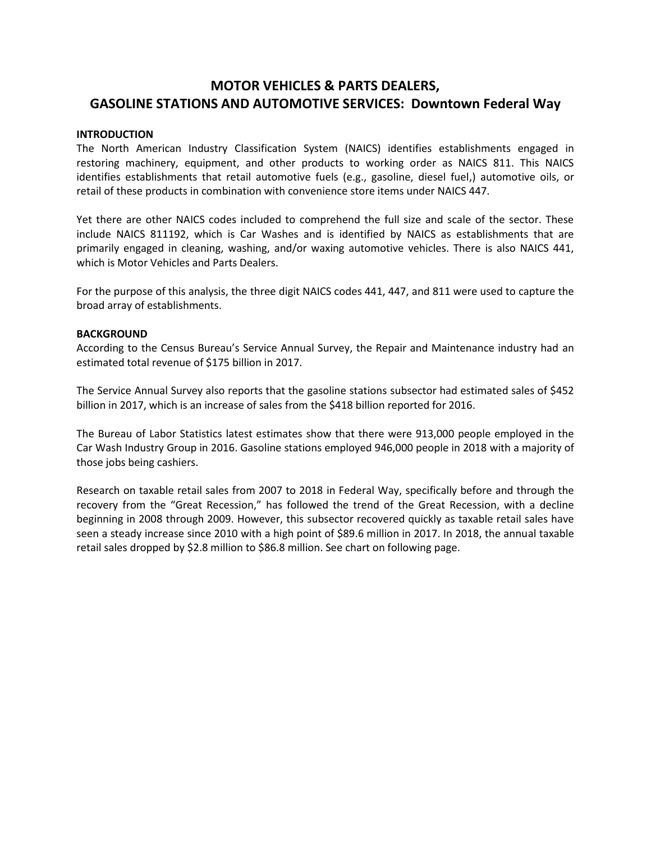# **MOTOR VEHICLES & PARTS DEALERS, GASOLINE STATIONS AND AUTOMOTIVE SERVICES: Downtown Federal Way**

### **INTRODUCTION**

The North American Industry Classification System (NAICS) identifies establishments engaged in restoring machinery, equipment, and other products to working order as NAICS 811. This NAICS identifies establishments that retail automotive fuels (e.g., gasoline, diesel fuel,) automotive oils, or retail of these products in combination with convenience store items under NAICS 447.

Yet there are other NAICS codes included to comprehend the full size and scale of the sector. These include NAICS 811192, which is Car Washes and is identified by NAICS as establishments that are primarily engaged in cleaning, washing, and/or waxing automotive vehicles. There is also NAICS 441, which is Motor Vehicles and Parts Dealers.

For the purpose of this analysis, the three digit NAICS codes 441, 447, and 811 were used to capture the broad array of establishments.

### **BACKGROUND**

According to the Census Bureau's Service Annual Survey, the Repair and Maintenance industry had an estimated total revenue of \$175 billion in 2017.

The Service Annual Survey also reports that the gasoline stations subsector had estimated sales of \$452 billion in 2017, which is an increase of sales from the \$418 billion reported for 2016.

The Bureau of Labor Statistics latest estimates show that there were 913,000 people employed in the Car Wash Industry Group in 2016. Gasoline stations employed 946,000 people in 2018 with a majority of those jobs being cashiers.

Research on taxable retail sales from 2007 to 2018 in Federal Way, specifically before and through the recovery from the "Great Recession," has followed the trend of the Great Recession, with a decline beginning in 2008 through 2009. However, this subsector recovered quickly as taxable retail sales have seen a steady increase since 2010 with a high point of \$89.6 million in 2017. In 2018, the annual taxable retail sales dropped by \$2.8 million to \$86.8 million. See chart on following page.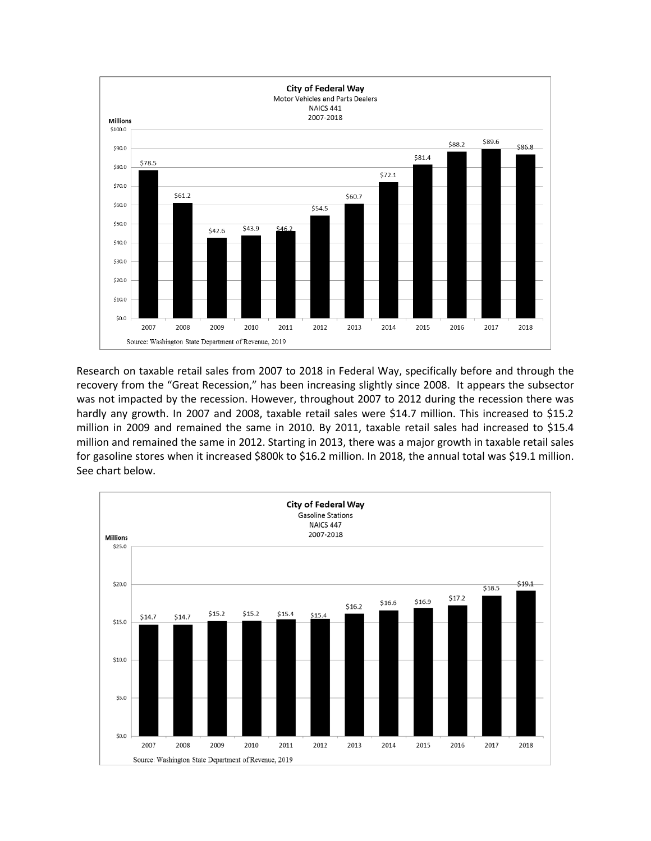

Research on taxable retail sales from 2007 to 2018 in Federal Way, specifically before and through the recovery from the "Great Recession," has been increasing slightly since 2008. It appears the subsector was not impacted by the recession. However, throughout 2007 to 2012 during the recession there was hardly any growth. In 2007 and 2008, taxable retail sales were \$14.7 million. This increased to \$15.2 million in 2009 and remained the same in 2010. By 2011, taxable retail sales had increased to \$15.4 million and remained the same in 2012. Starting in 2013, there was a major growth in taxable retail sales for gasoline stores when it increased \$800k to \$16.2 million. In 2018, the annual total was \$19.1 million. See chart below.

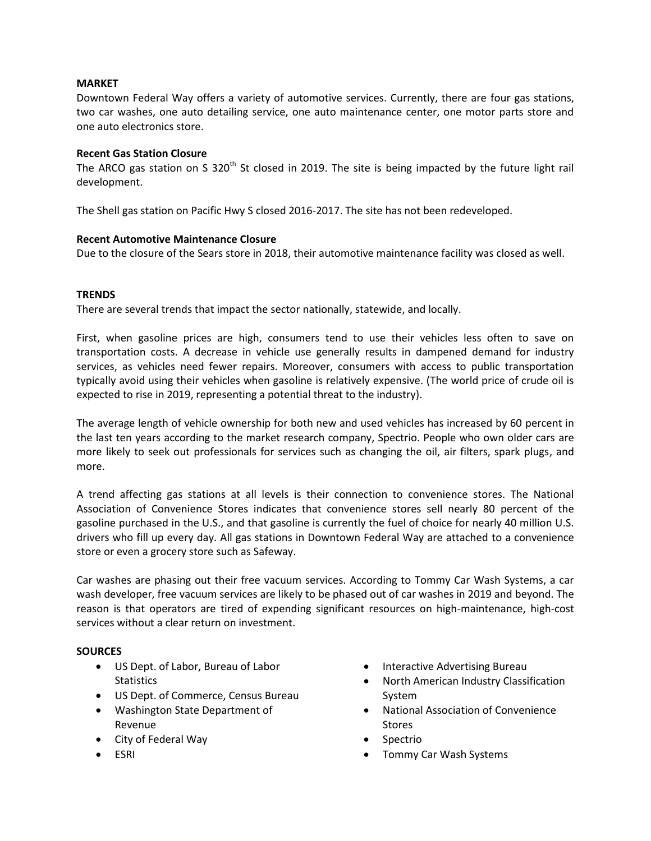### **MARKET**

Downtown Federal Way offers a variety of automotive services. Currently, there are four gas stations, two car washes, one auto detailing service, one auto maintenance center, one motor parts store and one auto electronics store.

### **Recent Gas Station Closure**

The ARCO gas station on S 320<sup>th</sup> St closed in 2019. The site is being impacted by the future light rail development.

The Shell gas station on Pacific Hwy S closed 2016-2017. The site has not been redeveloped.

### **Recent Automotive Maintenance Closure**

Due to the closure of the Sears store in 2018, their automotive maintenance facility was closed as well.

### **TRENDS**

There are several trends that impact the sector nationally, statewide, and locally.

First, when gasoline prices are high, consumers tend to use their vehicles less often to save on transportation costs. A decrease in vehicle use generally results in dampened demand for industry services, as vehicles need fewer repairs. Moreover, consumers with access to public transportation typically avoid using their vehicles when gasoline is relatively expensive. (The world price of crude oil is expected to rise in 2019, representing a potential threat to the industry).

The average length of vehicle ownership for both new and used vehicles has increased by 60 percent in the last ten years according to the market research company, Spectrio. People who own older cars are more likely to seek out professionals for services such as changing the oil, air filters, spark plugs, and more.

A trend affecting gas stations at all levels is their connection to convenience stores. The National Association of Convenience Stores indicates that convenience stores sell nearly 80 percent of the gasoline purchased in the U.S., and that gasoline is currently the fuel of choice for nearly 40 million U.S. drivers who fill up every day. All gas stations in Downtown Federal Way are attached to a convenience store or even a grocery store such as Safeway.

Car washes are phasing out their free vacuum services. According to Tommy Car Wash Systems, a car wash developer, free vacuum services are likely to be phased out of car washes in 2019 and beyond. The reason is that operators are tired of expending significant resources on high-maintenance, high-cost services without a clear return on investment.

### **SOURCES**

- US Dept. of Labor, Bureau of Labor **Statistics**
- US Dept. of Commerce, Census Bureau
- Washington State Department of Revenue
- City of Federal Way
- ESRI
- Interactive Advertising Bureau
- North American Industry Classification System
- National Association of Convenience Stores
- Spectrio
- Tommy Car Wash Systems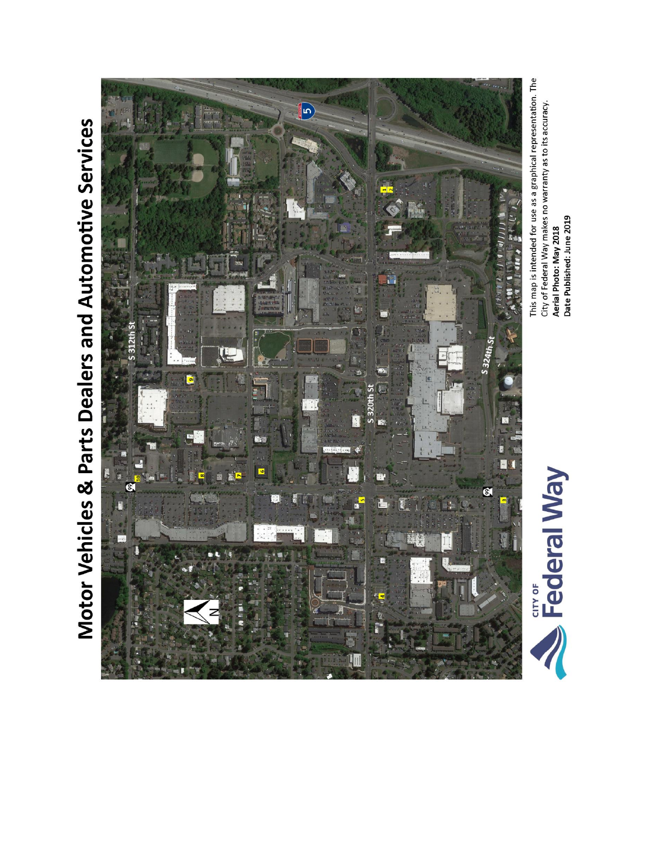# Motor Vehicles & Parts Dealers and Automotive Services



This map is intended for use as a graphical representation. The City of Federal Way makes no warranty as to its accuracy. Aerial Photo: May 2018<br>Date Published: June 2019